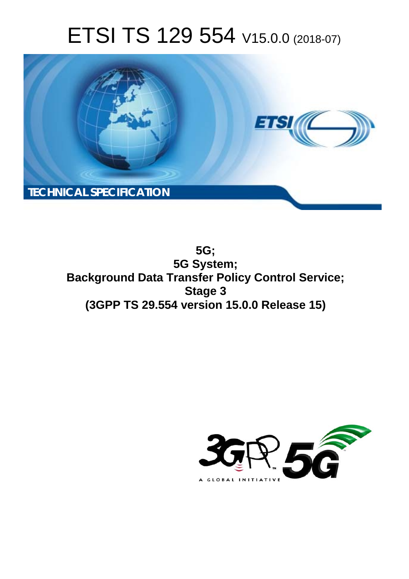# ETSI TS 129 554 V15.0.0 (2018-07)



**5G; 5G System; Background Data Transfer Policy Control Service; Stage 3 (3GPP TS 29.554 version 15.0.0 Release 15)** 

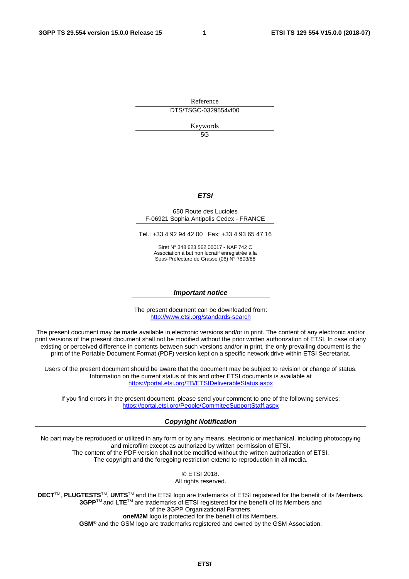Reference DTS/TSGC-0329554vf00

Keywords

 $5G$ 

### *ETSI*

#### 650 Route des Lucioles F-06921 Sophia Antipolis Cedex - FRANCE

Tel.: +33 4 92 94 42 00 Fax: +33 4 93 65 47 16

Siret N° 348 623 562 00017 - NAF 742 C Association à but non lucratif enregistrée à la Sous-Préfecture de Grasse (06) N° 7803/88

#### *Important notice*

The present document can be downloaded from: <http://www.etsi.org/standards-search>

The present document may be made available in electronic versions and/or in print. The content of any electronic and/or print versions of the present document shall not be modified without the prior written authorization of ETSI. In case of any existing or perceived difference in contents between such versions and/or in print, the only prevailing document is the print of the Portable Document Format (PDF) version kept on a specific network drive within ETSI Secretariat.

Users of the present document should be aware that the document may be subject to revision or change of status. Information on the current status of this and other ETSI documents is available at <https://portal.etsi.org/TB/ETSIDeliverableStatus.aspx>

If you find errors in the present document, please send your comment to one of the following services: <https://portal.etsi.org/People/CommiteeSupportStaff.aspx>

#### *Copyright Notification*

No part may be reproduced or utilized in any form or by any means, electronic or mechanical, including photocopying and microfilm except as authorized by written permission of ETSI. The content of the PDF version shall not be modified without the written authorization of ETSI. The copyright and the foregoing restriction extend to reproduction in all media.

> © ETSI 2018. All rights reserved.

**DECT**TM, **PLUGTESTS**TM, **UMTS**TM and the ETSI logo are trademarks of ETSI registered for the benefit of its Members. **3GPP**TM and **LTE**TM are trademarks of ETSI registered for the benefit of its Members and of the 3GPP Organizational Partners. **oneM2M** logo is protected for the benefit of its Members.

**GSM**® and the GSM logo are trademarks registered and owned by the GSM Association.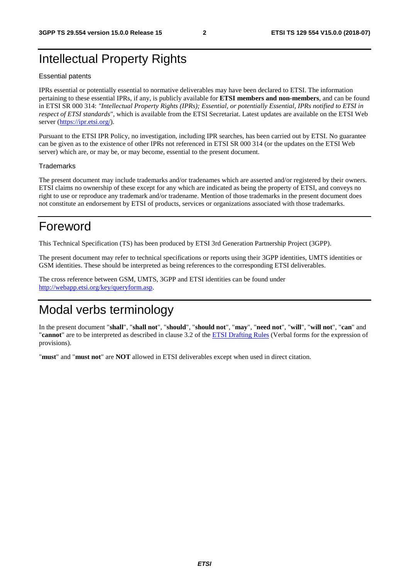## Intellectual Property Rights

#### Essential patents

IPRs essential or potentially essential to normative deliverables may have been declared to ETSI. The information pertaining to these essential IPRs, if any, is publicly available for **ETSI members and non-members**, and can be found in ETSI SR 000 314: *"Intellectual Property Rights (IPRs); Essential, or potentially Essential, IPRs notified to ETSI in respect of ETSI standards"*, which is available from the ETSI Secretariat. Latest updates are available on the ETSI Web server ([https://ipr.etsi.org/\)](https://ipr.etsi.org/).

Pursuant to the ETSI IPR Policy, no investigation, including IPR searches, has been carried out by ETSI. No guarantee can be given as to the existence of other IPRs not referenced in ETSI SR 000 314 (or the updates on the ETSI Web server) which are, or may be, or may become, essential to the present document.

#### **Trademarks**

The present document may include trademarks and/or tradenames which are asserted and/or registered by their owners. ETSI claims no ownership of these except for any which are indicated as being the property of ETSI, and conveys no right to use or reproduce any trademark and/or tradename. Mention of those trademarks in the present document does not constitute an endorsement by ETSI of products, services or organizations associated with those trademarks.

## Foreword

This Technical Specification (TS) has been produced by ETSI 3rd Generation Partnership Project (3GPP).

The present document may refer to technical specifications or reports using their 3GPP identities, UMTS identities or GSM identities. These should be interpreted as being references to the corresponding ETSI deliverables.

The cross reference between GSM, UMTS, 3GPP and ETSI identities can be found under [http://webapp.etsi.org/key/queryform.asp.](http://webapp.etsi.org/key/queryform.asp)

## Modal verbs terminology

In the present document "**shall**", "**shall not**", "**should**", "**should not**", "**may**", "**need not**", "**will**", "**will not**", "**can**" and "**cannot**" are to be interpreted as described in clause 3.2 of the [ETSI Drafting Rules](https://portal.etsi.org/Services/editHelp!/Howtostart/ETSIDraftingRules.aspx) (Verbal forms for the expression of provisions).

"**must**" and "**must not**" are **NOT** allowed in ETSI deliverables except when used in direct citation.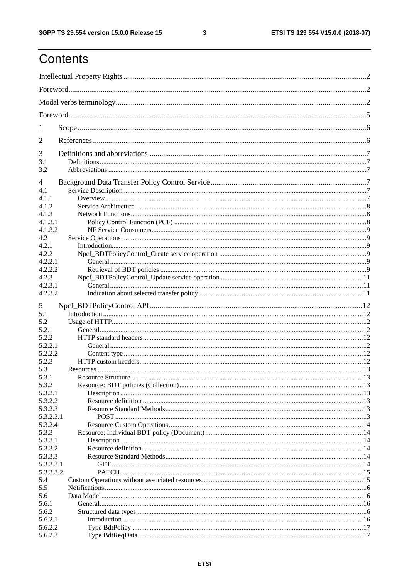$\mathbf{3}$ 

## Contents

| 1         |  |
|-----------|--|
| 2         |  |
| 3         |  |
| 3.1       |  |
| 3.2       |  |
| 4         |  |
| 4.1       |  |
| 4.1.1     |  |
| 4.1.2     |  |
| 4.1.3     |  |
| 4.1.3.1   |  |
| 4.1.3.2   |  |
| 4.2       |  |
| 4.2.1     |  |
| 4.2.2     |  |
| 4.2.2.1   |  |
| 4.2.2.2   |  |
| 4.2.3     |  |
| 4.2.3.1   |  |
| 4.2.3.2   |  |
| 5         |  |
| 5.1       |  |
| 5.2       |  |
| 5.2.1     |  |
| 5.2.2     |  |
| 5.2.2.1   |  |
| 5.2.2.2   |  |
|           |  |
| 5.2.3     |  |
| 5.3       |  |
| 5.3.1     |  |
| 5.3.2     |  |
| 5.3.2.1   |  |
| 5.3.2.2   |  |
| 5.3.2.3   |  |
| 5.3.2.3.1 |  |
| 5.3.2.4   |  |
| 5.3.3     |  |
| 5.3.3.1   |  |
| 5.3.3.2   |  |
| 5.3.3.3   |  |
| 5.3.3.3.1 |  |
| 5.3.3.3.2 |  |
| 5.4       |  |
| 5.5       |  |
| 5.6       |  |
| 5.6.1     |  |
| 5.6.2     |  |
| 5.6.2.1   |  |
| 5.6.2.2   |  |
| 5.6.2.3   |  |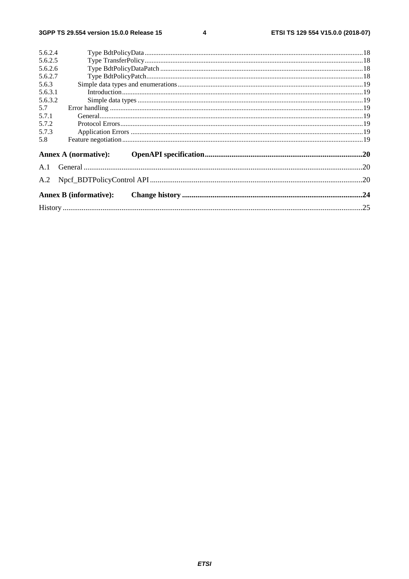$\overline{\mathbf{4}}$ 

| 5.6.2.4 |                               |     |
|---------|-------------------------------|-----|
| 5.6.2.5 |                               |     |
| 5.6.2.6 |                               |     |
| 5.6.2.7 |                               |     |
| 5.6.3   |                               |     |
| 5.6.3.1 |                               |     |
| 5.6.3.2 |                               |     |
| 5.7     |                               |     |
| 5.7.1   |                               |     |
| 5.7.2   |                               |     |
| 5.7.3   |                               |     |
| 5.8     |                               |     |
|         | <b>Annex A (normative):</b>   |     |
|         |                               |     |
| A.2     |                               | .20 |
|         | <b>Annex B</b> (informative): |     |
|         |                               |     |
|         |                               |     |
|         |                               |     |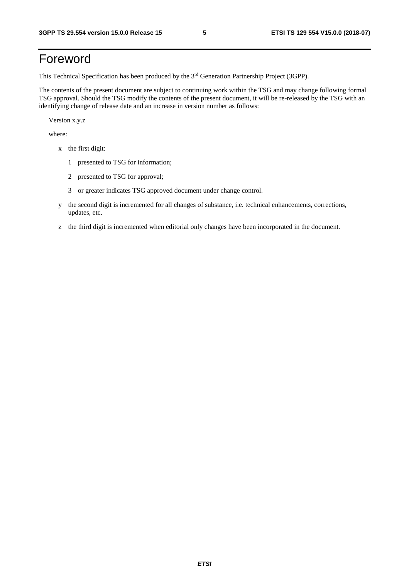## Foreword

This Technical Specification has been produced by the 3rd Generation Partnership Project (3GPP).

The contents of the present document are subject to continuing work within the TSG and may change following formal TSG approval. Should the TSG modify the contents of the present document, it will be re-released by the TSG with an identifying change of release date and an increase in version number as follows:

Version x.y.z

where:

- x the first digit:
	- 1 presented to TSG for information;
	- 2 presented to TSG for approval;
	- 3 or greater indicates TSG approved document under change control.
- y the second digit is incremented for all changes of substance, i.e. technical enhancements, corrections, updates, etc.
- z the third digit is incremented when editorial only changes have been incorporated in the document.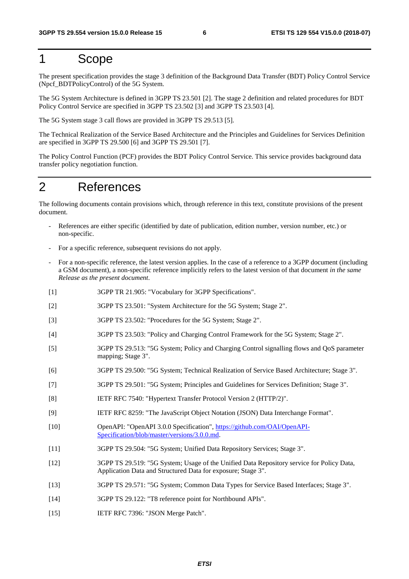### 1 Scope

The present specification provides the stage 3 definition of the Background Data Transfer (BDT) Policy Control Service (Npcf\_BDTPolicyControl) of the 5G System.

The 5G System Architecture is defined in 3GPP TS 23.501 [2]. The stage 2 definition and related procedures for BDT Policy Control Service are specified in 3GPP TS 23.502 [3] and 3GPP TS 23.503 [4].

The 5G System stage 3 call flows are provided in 3GPP TS 29.513 [5].

The Technical Realization of the Service Based Architecture and the Principles and Guidelines for Services Definition are specified in 3GPP TS 29.500 [6] and 3GPP TS 29.501 [7].

The Policy Control Function (PCF) provides the BDT Policy Control Service. This service provides background data transfer policy negotiation function.

## 2 References

The following documents contain provisions which, through reference in this text, constitute provisions of the present document.

- References are either specific (identified by date of publication, edition number, version number, etc.) or non-specific.
- For a specific reference, subsequent revisions do not apply.
- For a non-specific reference, the latest version applies. In the case of a reference to a 3GPP document (including a GSM document), a non-specific reference implicitly refers to the latest version of that document *in the same Release as the present document*.
- [1] 3GPP TR 21.905: "Vocabulary for 3GPP Specifications".
- [2] 3GPP TS 23.501: "System Architecture for the 5G System; Stage 2".
- [3] 3GPP TS 23.502: "Procedures for the 5G System; Stage 2".
- [4] 3GPP TS 23.503: "Policy and Charging Control Framework for the 5G System; Stage 2".
- [5] 3GPP TS 29.513: "5G System; Policy and Charging Control signalling flows and QoS parameter mapping; Stage 3".
- [6] 3GPP TS 29.500: "5G System; Technical Realization of Service Based Architecture; Stage 3".
- [7] 3GPP TS 29.501: "5G System; Principles and Guidelines for Services Definition; Stage 3".
- [8] IETF RFC 7540: "Hypertext Transfer Protocol Version 2 (HTTP/2)".
- [9] IETF RFC 8259: "The JavaScript Object Notation (JSON) Data Interchange Format".
- [10] OpenAPI: "OpenAPI 3.0.0 Specification", [https://github.com/OAI/OpenAPI](https://github.com/OAI/OpenAPI-Specification/blob/master/versions/3.0.0.md)-[Specification/blob/master/versions/3.0.0.md](https://github.com/OAI/OpenAPI-Specification/blob/master/versions/3.0.0.md).
- [11] 3GPP TS 29.504: "5G System; Unified Data Repository Services; Stage 3".
- [12] 3GPP TS 29.519: "5G System; Usage of the Unified Data Repository service for Policy Data, Application Data and Structured Data for exposure; Stage 3".
- [13] 3GPP TS 29.571: "5G System; Common Data Types for Service Based Interfaces; Stage 3".
- [14] 3GPP TS 29.122: "T8 reference point for Northbound APIs".
- [15] IETF RFC 7396: "JSON Merge Patch".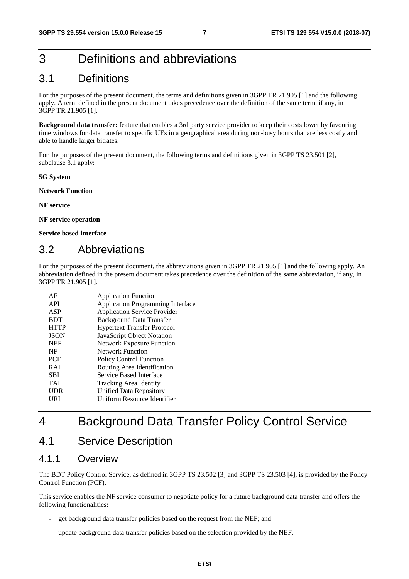## 3 Definitions and abbreviations

### 3.1 Definitions

For the purposes of the present document, the terms and definitions given in 3GPP TR 21.905 [1] and the following apply. A term defined in the present document takes precedence over the definition of the same term, if any, in 3GPP TR 21.905 [1].

**Background data transfer:** feature that enables a 3rd party service provider to keep their costs lower by favouring time windows for data transfer to specific UEs in a geographical area during non-busy hours that are less costly and able to handle larger bitrates.

For the purposes of the present document, the following terms and definitions given in 3GPP TS 23.501 [2], subclause 3.1 apply:

**5G System** 

**Network Function** 

**NF service** 

**NF service operation** 

**Service based interface** 

### 3.2 Abbreviations

For the purposes of the present document, the abbreviations given in 3GPP TR 21.905 [1] and the following apply. An abbreviation defined in the present document takes precedence over the definition of the same abbreviation, if any, in 3GPP TR 21.905 [1].

| AF          | <b>Application Function</b>              |
|-------------|------------------------------------------|
| API         | <b>Application Programming Interface</b> |
| ASP         | <b>Application Service Provider</b>      |
| <b>BDT</b>  | <b>Background Data Transfer</b>          |
| <b>HTTP</b> | <b>Hypertext Transfer Protocol</b>       |
| <b>JSON</b> | JavaScript Object Notation               |
| <b>NEF</b>  | <b>Network Exposure Function</b>         |
| NF          | <b>Network Function</b>                  |
| <b>PCF</b>  | <b>Policy Control Function</b>           |
| <b>RAI</b>  | Routing Area Identification              |
| SBI         | Service Based Interface                  |
| TAI         | Tracking Area Identity                   |
| <b>UDR</b>  | Unified Data Repository                  |
| URI         | Uniform Resource Identifier              |
|             |                                          |

## 4 Background Data Transfer Policy Control Service

### 4.1 Service Description

### 4.1.1 Overview

The BDT Policy Control Service, as defined in 3GPP TS 23.502 [3] and 3GPP TS 23.503 [4], is provided by the Policy Control Function (PCF).

This service enables the NF service consumer to negotiate policy for a future background data transfer and offers the following functionalities:

- get background data transfer policies based on the request from the NEF; and
- update background data transfer policies based on the selection provided by the NEF.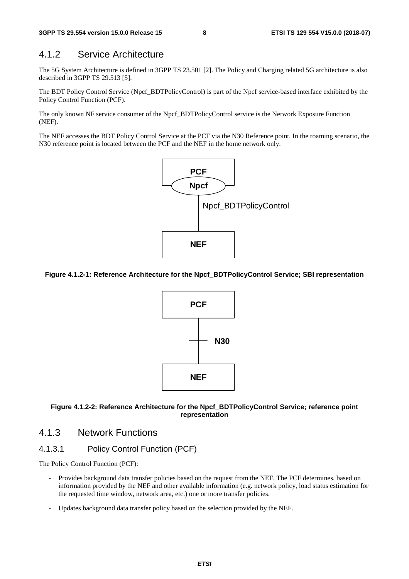### 4.1.2 Service Architecture

The 5G System Architecture is defined in 3GPP TS 23.501 [2]. The Policy and Charging related 5G architecture is also described in 3GPP TS 29.513 [5].

The BDT Policy Control Service (Npcf\_BDTPolicyControl) is part of the Npcf service-based interface exhibited by the Policy Control Function (PCF).

The only known NF service consumer of the Npcf\_BDTPolicyControl service is the Network Exposure Function (NEF).

The NEF accesses the BDT Policy Control Service at the PCF via the N30 Reference point. In the roaming scenario, the N30 reference point is located between the PCF and the NEF in the home network only.



#### **Figure 4.1.2-1: Reference Architecture for the Npcf\_BDTPolicyControl Service; SBI representation**



#### **Figure 4.1.2-2: Reference Architecture for the Npcf\_BDTPolicyControl Service; reference point representation**

### 4.1.3 Network Functions

### 4.1.3.1 Policy Control Function (PCF)

The Policy Control Function (PCF):

- Provides background data transfer policies based on the request from the NEF. The PCF determines, based on information provided by the NEF and other available information (e.g. network policy, load status estimation for the requested time window, network area, etc.) one or more transfer policies.
- Updates background data transfer policy based on the selection provided by the NEF.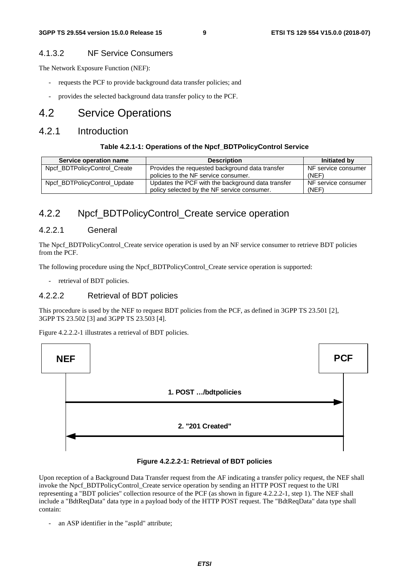### 4.1.3.2 NF Service Consumers

The Network Exposure Function (NEF):

- requests the PCF to provide background data transfer policies; and
- provides the selected background data transfer policy to the PCF.

### 4.2 Service Operations

### 4.2.1 Introduction

#### **Table 4.2.1-1: Operations of the Npcf\_BDTPolicyControl Service**

| Service operation name       | <b>Description</b>                                | Initiated by        |
|------------------------------|---------------------------------------------------|---------------------|
| Npcf_BDTPolicyControl_Create | Provides the requested background data transfer   | NF service consumer |
|                              | policies to the NF service consumer.              | (NEF)               |
| Npcf_BDTPolicyControl_Update | Updates the PCF with the background data transfer | NF service consumer |
|                              | policy selected by the NF service consumer.       | (NEF)               |

### 4.2.2 Npcf BDTPolicyControl Create service operation

### 4.2.2.1 General

The Npcf\_BDTPolicyControl\_Create service operation is used by an NF service consumer to retrieve BDT policies from the PCF.

The following procedure using the Npcf\_BDTPolicyControl\_Create service operation is supported:

- retrieval of BDT policies.

### 4.2.2.2 Retrieval of BDT policies

This procedure is used by the NEF to request BDT policies from the PCF, as defined in 3GPP TS 23.501 [2], 3GPP TS 23.502 [3] and 3GPP TS 23.503 [4].

Figure 4.2.2.2-1 illustrates a retrieval of BDT policies.



#### **Figure 4.2.2.2-1: Retrieval of BDT policies**

Upon reception of a Background Data Transfer request from the AF indicating a transfer policy request, the NEF shall invoke the Npcf\_BDTPolicyControl\_Create service operation by sending an HTTP POST request to the URI representing a "BDT policies" collection resource of the PCF (as shown in figure 4.2.2.2-1, step 1). The NEF shall include a "BdtReqData" data type in a payload body of the HTTP POST request. The "BdtReqData" data type shall contain:

an ASP identifier in the "aspId" attribute;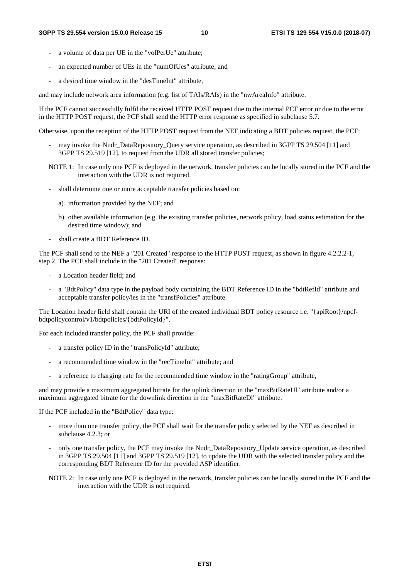- a volume of data per UE in the "volPerUe" attribute:
- an expected number of UEs in the "numOfUes" attribute; and
- a desired time window in the "desTimeInt" attribute,

and may include network area information (e.g. list of TAIs/RAIs) in the "nwAreaInfo" attribute.

If the PCF cannot successfully fulfil the received HTTP POST request due to the internal PCF error or due to the error in the HTTP POST request, the PCF shall send the HTTP error response as specified in subclause 5.7.

Otherwise, upon the reception of the HTTP POST request from the NEF indicating a BDT policies request, the PCF:

- may invoke the Nudr\_DataRepository\_Query service operation, as described in 3GPP TS 29.504 [11] and 3GPP TS 29.519 [12], to request from the UDR all stored transfer policies;
- NOTE 1: In case only one PCF is deployed in the network, transfer policies can be locally stored in the PCF and the interaction with the UDR is not required.
- shall determine one or more acceptable transfer policies based on:
	- a) information provided by the NEF; and
	- b) other available information (e.g. the existing transfer policies, network policy, load status estimation for the desired time window); and
- shall create a BDT Reference ID.

The PCF shall send to the NEF a "201 Created" response to the HTTP POST request, as shown in figure 4.2.2.2-1, step 2. The PCF shall include in the "201 Created" response:

- a Location header field; and
- a "BdtPolicy" data type in the payload body containing the BDT Reference ID in the "bdtRefId" attribute and acceptable transfer policy/ies in the "transfPolicies" attribute.

The Location header field shall contain the URI of the created individual BDT policy resource i.e. "{apiRoot}/npcfbdtpolicycontrol/v1/bdtpolicies/{bdtPolicyId}".

For each included transfer policy, the PCF shall provide:

- a transfer policy ID in the "transPolicyId" attribute;
- a recommended time window in the "recTimeInt" attribute; and
- a reference to charging rate for the recommended time window in the "ratingGroup" attribute,

and may provide a maximum aggregated bitrate for the uplink direction in the "maxBitRateUl" attribute and/or a maximum aggregated bitrate for the downlink direction in the "maxBitRateDl" attribute.

If the PCF included in the "BdtPolicy" data type:

- more than one transfer policy, the PCF shall wait for the transfer policy selected by the NEF as described in subclause 4.2.3; or
- only one transfer policy, the PCF may invoke the Nudr\_DataRepository\_Update service operation, as described in 3GPP TS 29.504 [11] and 3GPP TS 29.519 [12], to update the UDR with the selected transfer policy and the corresponding BDT Reference ID for the provided ASP identifier.
- NOTE 2: In case only one PCF is deployed in the network, transfer policies can be locally stored in the PCF and the interaction with the UDR is not required.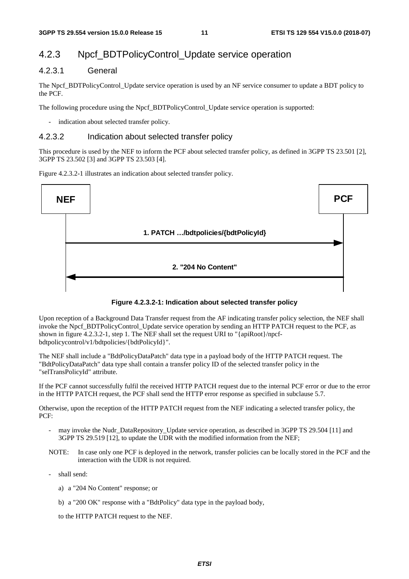### 4.2.3 Npcf\_BDTPolicyControl\_Update service operation

### 4.2.3.1 General

The Npcf\_BDTPolicyControl\_Update service operation is used by an NF service consumer to update a BDT policy to the PCF.

The following procedure using the Npcf\_BDTPolicyControl\_Update service operation is supported:

indication about selected transfer policy.

### 4.2.3.2 Indication about selected transfer policy

This procedure is used by the NEF to inform the PCF about selected transfer policy, as defined in 3GPP TS 23.501 [2], 3GPP TS 23.502 [3] and 3GPP TS 23.503 [4].

Figure 4.2.3.2-1 illustrates an indication about selected transfer policy.





Upon reception of a Background Data Transfer request from the AF indicating transfer policy selection, the NEF shall invoke the Npcf\_BDTPolicyControl\_Update service operation by sending an HTTP PATCH request to the PCF, as shown in figure 4.2.3.2-1, step 1. The NEF shall set the request URI to "{apiRoot}/npcfbdtpolicycontrol/v1/bdtpolicies/{bdtPolicyId}".

The NEF shall include a "BdtPolicyDataPatch" data type in a payload body of the HTTP PATCH request. The "BdtPolicyDataPatch" data type shall contain a transfer policy ID of the selected transfer policy in the "selTransPolicyId" attribute.

If the PCF cannot successfully fulfil the received HTTP PATCH request due to the internal PCF error or due to the error in the HTTP PATCH request, the PCF shall send the HTTP error response as specified in subclause 5.7.

Otherwise, upon the reception of the HTTP PATCH request from the NEF indicating a selected transfer policy, the PCF:

- may invoke the Nudr DataRepository Update service operation, as described in 3GPP TS 29.504 [11] and 3GPP TS 29.519 [12], to update the UDR with the modified information from the NEF;
- NOTE: In case only one PCF is deployed in the network, transfer policies can be locally stored in the PCF and the interaction with the UDR is not required.
- shall send:
	- a) a "204 No Content" response; or
	- b) a "200 OK" response with a "BdtPolicy" data type in the payload body,

to the HTTP PATCH request to the NEF.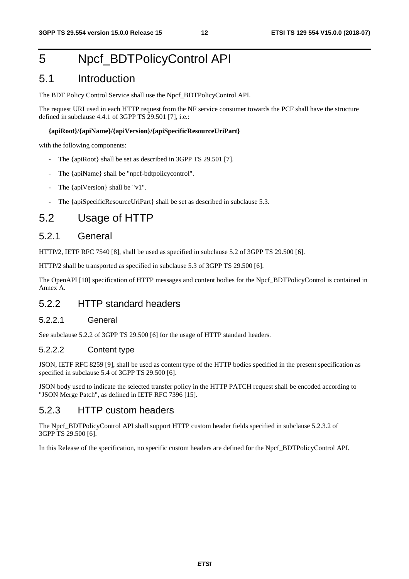## 5 Npcf\_BDTPolicyControl API

### 5.1 Introduction

The BDT Policy Control Service shall use the Npcf\_BDTPolicyControl API.

The request URI used in each HTTP request from the NF service consumer towards the PCF shall have the structure defined in subclause 4.4.1 of 3GPP TS 29.501 [7], i.e.:

#### **{apiRoot}/{apiName}/{apiVersion}/{apiSpecificResourceUriPart}**

with the following components:

- The {apiRoot} shall be set as described in 3GPP TS 29.501 [7].
- The {apiName} shall be "npcf-bdtpolicycontrol".
- The {apiVersion} shall be "v1".
- The {apiSpecificResourceUriPart} shall be set as described in subclause 5.3.

### 5.2 Usage of HTTP

### 5.2.1 General

HTTP/2, IETF RFC 7540 [8], shall be used as specified in subclause 5.2 of 3GPP TS 29.500 [6].

HTTP/2 shall be transported as specified in subclause 5.3 of 3GPP TS 29.500 [6].

The OpenAPI [10] specification of HTTP messages and content bodies for the Npcf\_BDTPolicyControl is contained in Annex A.

### 5.2.2 HTTP standard headers

#### 5.2.2.1 General

See subclause 5.2.2 of 3GPP TS 29.500 [6] for the usage of HTTP standard headers.

#### 5.2.2.2 Content type

JSON, IETF RFC 8259 [9], shall be used as content type of the HTTP bodies specified in the present specification as specified in subclause 5.4 of 3GPP TS 29.500 [6].

JSON body used to indicate the selected transfer policy in the HTTP PATCH request shall be encoded according to "JSON Merge Patch", as defined in IETF RFC 7396 [15].

### 5.2.3 HTTP custom headers

The Npcf\_BDTPolicyControl API shall support HTTP custom header fields specified in subclause 5.2.3.2 of 3GPP TS 29.500 [6].

In this Release of the specification, no specific custom headers are defined for the Npcf\_BDTPolicyControl API.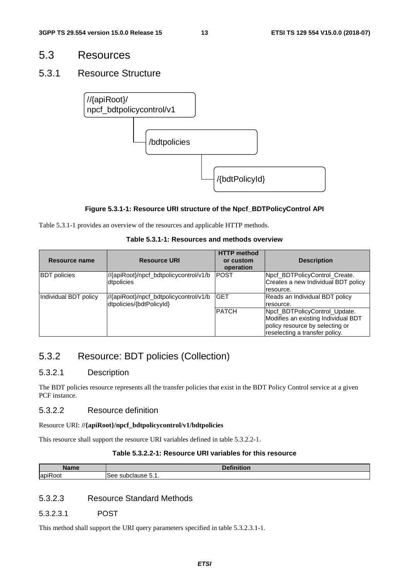### 5.3 Resources

### 5.3.1 Resource Structure



#### **Figure 5.3.1-1: Resource URI structure of the Npcf\_BDTPolicyControl API**

Table 5.3.1-1 provides an overview of the resources and applicable HTTP methods.

### **Table 5.3.1-1: Resources and methods overview**

| Resource name         | <b>Resource URI</b>                                                 | <b>HTTP</b> method<br>or custom<br>operation | <b>Description</b>                                                                                                                        |
|-----------------------|---------------------------------------------------------------------|----------------------------------------------|-------------------------------------------------------------------------------------------------------------------------------------------|
| <b>BDT</b> policies   | ///{apiRoot}/npcf_bdtpolicycontrol/v1/b<br>dtpolicies               | <b>IPOST</b>                                 | Npcf_BDTPolicyControl_Create.<br>Creates a new Individual BDT policy<br>resource.                                                         |
| Individual BDT policy | ///{apiRoot}/npcf_bdtpolicycontrol/v1/b<br>dtpolicies/{bdtPolicyId} | <b>GET</b>                                   | Reads an Individual BDT policy<br>resource.                                                                                               |
|                       |                                                                     | <b>PATCH</b>                                 | Npcf_BDTPolicyControl_Update.<br>Modifies an existing Individual BDT<br>policy resource by selecting or<br>reselecting a transfer policy. |

### 5.3.2 Resource: BDT policies (Collection)

### 5.3.2.1 Description

The BDT policies resource represents all the transfer policies that exist in the BDT Policy Control service at a given PCF instance.

### 5.3.2.2 Resource definition

Resource URI: **//{apiRoot}/npcf\_bdtpolicycontrol/v1/bdtpolicies**

This resource shall support the resource URI variables defined in table 5.3.2.2-1.

#### **Table 5.3.2.2-1: Resource URI variables for this resource**

| <b>Name</b>             | . .<br>.<br>uvı          |
|-------------------------|--------------------------|
| $\cdot$ $-$<br>lapiRoot | -<br>ം supclause p.<br>- |

### 5.3.2.3 Resource Standard Methods

5.3.2.3.1 POST

This method shall support the URI query parameters specified in table 5.3.2.3.1-1.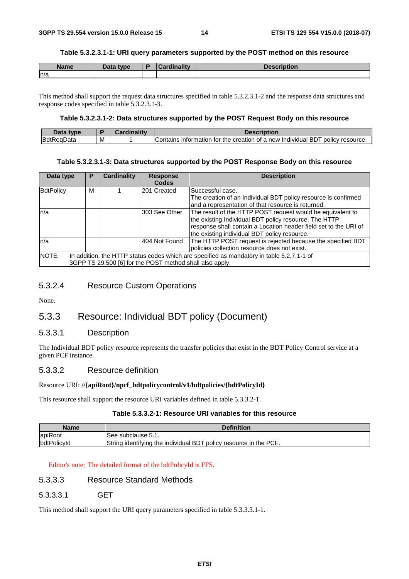#### **Table 5.3.2.3.1-1: URI query parameters supported by the POST method on this resource**

| <b>Name</b> | Data type | Cardinalitv | <b>Description</b> |
|-------------|-----------|-------------|--------------------|
| n/a         |           |             |                    |

This method shall support the request data structures specified in table 5.3.2.3.1-2 and the response data structures and response codes specified in table 5.3.2.3.1-3.

#### **Table 5.3.2.3.1-2: Data structures supported by the POST Request Body on this resource**

| Jata<br>tvne |   |                                                                                                      |
|--------------|---|------------------------------------------------------------------------------------------------------|
| <b>BdtF</b>  | М | policy resource.<br>creation<br>BD<br>intormation<br>tor<br>IContains<br>the<br>⊦of a new Individual |

#### **Table 5.3.2.3.1-3: Data structures supported by the POST Response Body on this resource**

| Data type        | Р | <b>Cardinality</b> | <b>Response</b><br><b>Codes</b>                          | <b>Description</b>                                                                                                                                                                                                                      |
|------------------|---|--------------------|----------------------------------------------------------|-----------------------------------------------------------------------------------------------------------------------------------------------------------------------------------------------------------------------------------------|
| <b>BdtPolicy</b> | м |                    | 201 Created                                              | Successful case.<br>The creation of an Individual BDT policy resource is confirmed<br>and a representation of that resource is returned.                                                                                                |
| ln/a             |   |                    | 303 See Other                                            | The result of the HTTP POST request would be equivalent to<br>the existing Individual BDT policy resource. The HTTP<br>response shall contain a Location header field set to the URI of<br>the existing individual BDT policy resource. |
| ln/a             |   |                    | 404 Not Found                                            | The HTTP POST request is rejected because the specified BDT<br>policies collection resource does not exist.                                                                                                                             |
| NOTE:            |   |                    | 3GPP TS 29.500 [6] for the POST method shall also apply. | In addition, the HTTP status codes which are specified as mandatory in table 5.2.7.1-1 of                                                                                                                                               |

### 5.3.2.4 Resource Custom Operations

None.

### 5.3.3 Resource: Individual BDT policy (Document)

#### 5.3.3.1 Description

The Individual BDT policy resource represents the transfer policies that exist in the BDT Policy Control service at a given PCF instance.

#### 5.3.3.2 Resource definition

#### Resource URI: **//{apiRoot}/npcf\_bdtpolicycontrol/v1/bdtpolicies/{bdtPolicyId}**

This resource shall support the resource URI variables defined in table 5.3.3.2-1.

#### **Table 5.3.3.2-1: Resource URI variables for this resource**

| Name        | <b>Definition</b>                                                 |
|-------------|-------------------------------------------------------------------|
| apiRoot     | ISee subclause 5.1.                                               |
| bdtPolicyId | String identifying the individual BDT policy resource in the PCF. |

#### Editor's note: The detailed format of the bdtPolicyId is FFS.

### 5.3.3.3 Resource Standard Methods

5.3.3.3.1 GET

This method shall support the URI query parameters specified in table 5.3.3.3.1-1.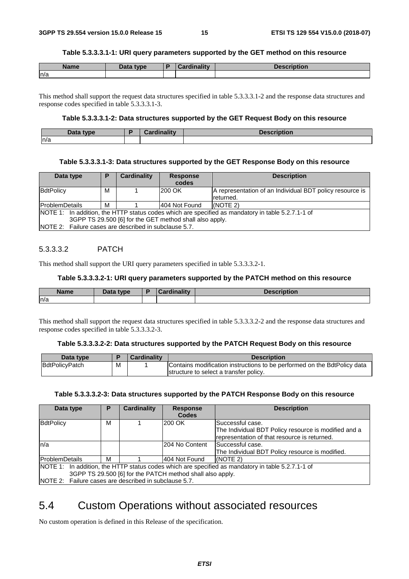#### **Table 5.3.3.3.1-1: URI query parameters supported by the GET method on this resource**

| <b>Name</b> | Data type | <b>Cardinality</b> | <b>Description</b> |
|-------------|-----------|--------------------|--------------------|
| ln/a        |           |                    |                    |

This method shall support the request data structures specified in table 5.3.3.3.1-2 and the response data structures and response codes specified in table 5.3.3.3.1-3.

#### **Table 5.3.3.3.1-2: Data structures supported by the GET Request Body on this resource**

| That<br>tyne<br>Data | $\mathbf{H}$<br><br><b>The company</b><br>. | uvn. |
|----------------------|---------------------------------------------|------|
| n/a                  |                                             |      |

#### **Table 5.3.3.3.1-3: Data structures supported by the GET Response Body on this resource**

| Data type                                                                                                                                                    | P | <b>Cardinality</b> | <b>Response</b><br>codes | <b>Description</b>                                                    |  |  |
|--------------------------------------------------------------------------------------------------------------------------------------------------------------|---|--------------------|--------------------------|-----------------------------------------------------------------------|--|--|
| BdtPolicy                                                                                                                                                    | м |                    | 200 OK                   | A representation of an Individual BDT policy resource is<br>returned. |  |  |
| <b>IProblemDetails</b>                                                                                                                                       | м |                    | l404 Not Found           | (NOTE 2)                                                              |  |  |
| NOTE 1: In addition, the HTTP status codes which are specified as mandatory in table 5.2.7.1-1 of<br>3GPP TS 29.500 [6] for the GET method shall also apply. |   |                    |                          |                                                                       |  |  |
| NOTE 2: Failure cases are described in subclause 5.7.                                                                                                        |   |                    |                          |                                                                       |  |  |

#### 5.3.3.3.2 PATCH

This method shall support the URI query parameters specified in table 5.3.3.3.2-1.

#### **Table 5.3.3.3.2-1: URI query parameters supported by the PATCH method on this resource**

| <b>Name</b> | <b>Data type</b><br>Dald | <b>Cardinality</b> | Description |
|-------------|--------------------------|--------------------|-------------|
| n/a         |                          |                    |             |

This method shall support the request data structures specified in table 5.3.3.3.2-2 and the response data structures and response codes specified in table 5.3.3.3.2-3.

#### **Table 5.3.3.3.2-2: Data structures supported by the PATCH Request Body on this resource**

| Data type      |   | Cardinality | <b>Description</b>                                                       |
|----------------|---|-------------|--------------------------------------------------------------------------|
| BdtPolicyPatch | M |             | Contains modification instructions to be performed on the BdtPolicy data |
|                |   |             | structure to select a transfer policy.                                   |

#### **Table 5.3.3.3.2-3: Data structures supported by the PATCH Response Body on this resource**

| Data type                                             |                                                                                                   | <b>Cardinality</b> | <b>Response</b> | <b>Description</b>                                   |  |  |  |  |
|-------------------------------------------------------|---------------------------------------------------------------------------------------------------|--------------------|-----------------|------------------------------------------------------|--|--|--|--|
|                                                       |                                                                                                   |                    | <b>Codes</b>    |                                                      |  |  |  |  |
| BdtPolicy                                             | М                                                                                                 |                    | 200 OK          | Successful case.                                     |  |  |  |  |
|                                                       |                                                                                                   |                    |                 | The Individual BDT Policy resource is modified and a |  |  |  |  |
|                                                       |                                                                                                   |                    |                 | representation of that resource is returned.         |  |  |  |  |
| n/a                                                   |                                                                                                   |                    | I204 No Content | lSuccessful case.                                    |  |  |  |  |
|                                                       |                                                                                                   |                    |                 | The Individual BDT Policy resource is modified.      |  |  |  |  |
| <b>ProblemDetails</b>                                 | м                                                                                                 |                    | 404 Not Found   | (NOTE 2)                                             |  |  |  |  |
|                                                       | NOTE 1: In addition, the HTTP status codes which are specified as mandatory in table 5.2.7.1-1 of |                    |                 |                                                      |  |  |  |  |
|                                                       | 3GPP TS 29.500 [6] for the PATCH method shall also apply.                                         |                    |                 |                                                      |  |  |  |  |
| NOTE 2: Failure cases are described in subclause 5.7. |                                                                                                   |                    |                 |                                                      |  |  |  |  |

### 5.4 Custom Operations without associated resources

No custom operation is defined in this Release of the specification.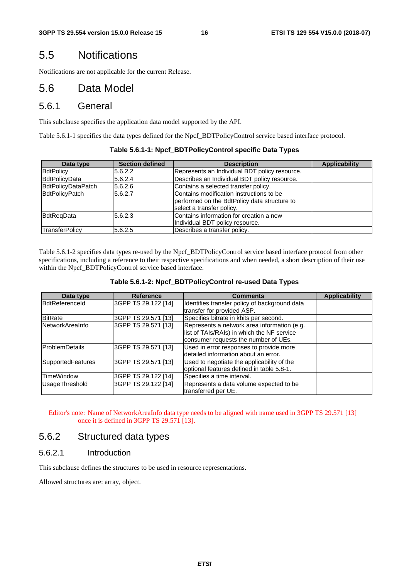### 5.5 Notifications

Notifications are not applicable for the current Release.

### 5.6 Data Model

### 5.6.1 General

This subclause specifies the application data model supported by the API.

Table 5.6.1-1 specifies the data types defined for the Npcf\_BDTPolicyControl service based interface protocol.

| Data type             | <b>Section defined</b> | <b>Description</b>                            | <b>Applicability</b> |
|-----------------------|------------------------|-----------------------------------------------|----------------------|
| <b>BdtPolicy</b>      | 5.6.2.2                | Represents an Individual BDT policy resource. |                      |
| BdtPolicyData         | 5.6.2.4                | Describes an Individual BDT policy resource.  |                      |
| BdtPolicyDataPatch    | 5.6.2.6                | Contains a selected transfer policy.          |                      |
| <b>BdtPolicyPatch</b> | 5.6.2.7                | Contains modification instructions to be      |                      |
|                       |                        | performed on the BdtPolicy data structure to  |                      |
|                       |                        | select a transfer policy.                     |                      |
| BdtReaData            | 5.6.2.3                | Contains information for creation a new       |                      |
|                       |                        | Individual BDT policy resource.               |                      |
| TransferPolicy        | 15.6.2.5               | Describes a transfer policy.                  |                      |

**Table 5.6.1-1: Npcf\_BDTPolicyControl specific Data Types** 

Table 5.6.1-2 specifies data types re-used by the Npcf\_BDTPolicyControl service based interface protocol from other specifications, including a reference to their respective specifications and when needed, a short description of their use within the Npcf\_BDTPolicyControl service based interface.

| Data type                | <b>Reference</b>    | <b>Comments</b>                                                                                                                   | <b>Applicability</b> |
|--------------------------|---------------------|-----------------------------------------------------------------------------------------------------------------------------------|----------------------|
| BdtReferenceld           | 3GPP TS 29.122 [14] | Identifies transfer policy of background data<br>transfer for provided ASP.                                                       |                      |
| <b>BitRate</b>           | 3GPP TS 29.571 [13] | Specifies bitrate in kbits per second.                                                                                            |                      |
| NetworkAreaInfo          | 3GPP TS 29.571 [13] | Represents a network area information (e.g.<br>list of TAIs/RAIs) in which the NF service<br>consumer requests the number of UEs. |                      |
| <b>ProblemDetails</b>    | 3GPP TS 29.571 [13] | Used in error responses to provide more<br>detailed information about an error.                                                   |                      |
| <b>SupportedFeatures</b> | 3GPP TS 29.571 [13] | Used to negotiate the applicability of the<br>optional features defined in table 5.8-1.                                           |                      |
| <b>TimeWindow</b>        | 3GPP TS 29.122 [14] | Specifies a time interval.                                                                                                        |                      |
| UsageThreshold           | 3GPP TS 29.122 [14] | Represents a data volume expected to be<br>transferred per UE.                                                                    |                      |

Editor's note: Name of NetworkAreaInfo data type needs to be aligned with name used in 3GPP TS 29.571 [13] once it is defined in 3GPP TS 29.571 [13].

### 5.6.2 Structured data types

### 5.6.2.1 Introduction

This subclause defines the structures to be used in resource representations.

Allowed structures are: array, object.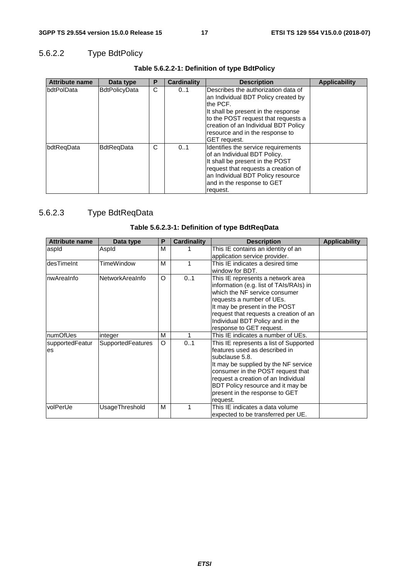### 5.6.2.2 Type BdtPolicy

| <b>Attribute name</b> | Data type            | Ρ | <b>Cardinality</b> | <b>Description</b>                                                                                                                                                                                                                                                      | <b>Applicability</b> |
|-----------------------|----------------------|---|--------------------|-------------------------------------------------------------------------------------------------------------------------------------------------------------------------------------------------------------------------------------------------------------------------|----------------------|
| <b>IbdtPolData</b>    | <b>BdtPolicyData</b> | C | 01                 | Describes the authorization data of<br>an Individual BDT Policy created by<br>the PCF.<br>It shall be present in the response<br>to the POST request that requests a<br>creation of an Individual BDT Policy<br>resource and in the response to<br><b>IGET</b> request. |                      |
| bdtRegData            | <b>BdtRegData</b>    | С | 01                 | Identifies the service requirements<br>of an Individual BDT Policy.<br>It shall be present in the POST<br>request that requests a creation of<br>an Individual BDT Policy resource<br>and in the response to GET<br>request.                                            |                      |

### **Table 5.6.2.2-1: Definition of type BdtPolicy**

### 5.6.2.3 Type BdtReqData

| <b>Attribute name</b>  | Data type         | Р | <b>Cardinality</b> | <b>Description</b>                                                                                                                                                                                                                                                                               | <b>Applicability</b> |
|------------------------|-------------------|---|--------------------|--------------------------------------------------------------------------------------------------------------------------------------------------------------------------------------------------------------------------------------------------------------------------------------------------|----------------------|
| aspid                  | Aspld             | м |                    | This IE contains an identity of an<br>application service provider.                                                                                                                                                                                                                              |                      |
| ldesTimeInt            | TimeWindow        | M |                    | This IE indicates a desired time<br>window for BDT.                                                                                                                                                                                                                                              |                      |
| InwAreaInfo            | NetworkAreaInfo   | O | 01                 | This IE represents a network area<br>information (e.g. list of TAIs/RAIs) in<br>which the NF service consumer<br>requests a number of UEs.<br>It may be present in the POST<br>request that requests a creation of an<br>Individual BDT Policy and in the<br>response to GET request.            |                      |
| numOfUes               | integer           | м | 1                  | This IE indicates a number of UEs.                                                                                                                                                                                                                                                               |                      |
| supportedFeatur<br>les | SupportedFeatures | O | 01                 | This IE represents a list of Supported<br>features used as described in<br>subclause 5.8.<br>It may be supplied by the NF service<br>consumer in the POST request that<br>request a creation of an Individual<br>BDT Policy resource and it may be<br>present in the response to GET<br>request. |                      |
| volPerUe               | UsageThreshold    | м |                    | This IE indicates a data volume<br>expected to be transferred per UE.                                                                                                                                                                                                                            |                      |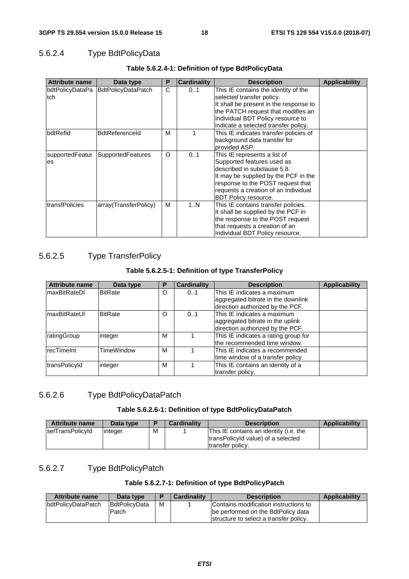### 5.6.2.4 Type BdtPolicyData

| <b>Attribute name</b> | Data type                          | Ρ | <b>Cardinality</b> | <b>Description</b>                                                                                                                                                                                                                            | <b>Applicability</b> |
|-----------------------|------------------------------------|---|--------------------|-----------------------------------------------------------------------------------------------------------------------------------------------------------------------------------------------------------------------------------------------|----------------------|
| ltch.                 | bdtPolicyDataPa BdtPolicyDataPatch | C | 01                 | This IE contains the identity of the<br>selected transfer policy.<br>It shall be present in the response to<br>the PATCH request that modifies an<br>Individual BDT Policy resource to<br>indicate a selected transfer policy.                |                      |
| bdtRefld              | <b>BdtReferenceId</b>              | м |                    | This IE indicates transfer policies of<br>background data transfer for<br>provided ASP.                                                                                                                                                       |                      |
| supportedFeatur<br>es | SupportedFeatures                  | O | 01                 | This IE represents a list of<br>Supported features used as<br>described in subclause 5.8.<br>It may be supplied by the PCF in the<br>response to the POST request that<br>requests a creation of an Individual<br><b>BDT Policy resource.</b> |                      |
| transfPolicies        | array(TransferPolicy)              | м | 1N                 | This IE contains transfer policies.<br>It shall be supplied by the PCF in<br>the response to the POST request<br>that requests a creation of an<br>Individual BDT Policy resource.                                                            |                      |

### **Table 5.6.2.4-1: Definition of type BdtPolicyData**

### 5.6.2.5 Type TransferPolicy

### **Table 5.6.2.5-1: Definition of type TransferPolicy**

| <b>Attribute name</b> | Data type         | Р | <b>Cardinality</b> | <b>Description</b>                   | <b>Applicability</b> |
|-----------------------|-------------------|---|--------------------|--------------------------------------|----------------------|
| ImaxBitRateDI         | <b>BitRate</b>    | O | 0.1                | This IE indicates a maximum          |                      |
|                       |                   |   |                    | aggregated bitrate in the downlink   |                      |
|                       |                   |   |                    | direction authorized by the PCF.     |                      |
| ImaxBitRateUl         | <b>BitRate</b>    | O | 0.1                | This IE indicates a maximum          |                      |
|                       |                   |   |                    | aggregated bitrate in the uplink     |                      |
|                       |                   |   |                    | direction authorized by the PCF.     |                      |
| ratingGroup           | integer           | м |                    | This IE indicates a rating group for |                      |
|                       |                   |   |                    | lthe recommended time window.        |                      |
| recTimeInt            | <b>TimeWindow</b> | м |                    | This IE indicates a recommended      |                      |
|                       |                   |   |                    | time window of a transfer policy.    |                      |
| transPolicyId         | integer           | м |                    | This IE contains an identity of a    |                      |
|                       |                   |   |                    | transfer policy.                     |                      |

### 5.6.2.6 Type BdtPolicyDataPatch

### **Table 5.6.2.6-1: Definition of type BdtPolicyDataPatch**

| <b>Attribute name</b> | Data type |   | <b>Cardinality</b> | <b>Description</b>                                                                                | <b>Applicability</b> |
|-----------------------|-----------|---|--------------------|---------------------------------------------------------------------------------------------------|----------------------|
| selTransPolicyId      | linteger  | M |                    | This IE contains an identity (i.e. the<br>transPolicyId value) of a selected<br>Itransfer policy. |                      |

### 5.6.2.7 Type BdtPolicyPatch

### **Table 5.6.2.7-1: Definition of type BdtPolicyPatch**

| Attribute name     | Data type                     |   | <b>Cardinality</b> | <b>Description</b>                                                                                                    | <b>Applicability</b> |
|--------------------|-------------------------------|---|--------------------|-----------------------------------------------------------------------------------------------------------------------|----------------------|
| bdtPolicyDataPatch | <b>BdtPolicvData</b><br>Patch | м |                    | Contains modification instructions to<br>be performed on the BdtPolicy data<br>structure to select a transfer policy. |                      |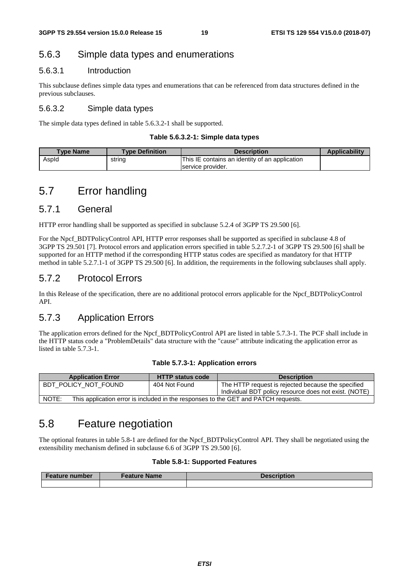### 5.6.3 Simple data types and enumerations

### 5.6.3.1 Introduction

This subclause defines simple data types and enumerations that can be referenced from data structures defined in the previous subclauses.

### 5.6.3.2 Simple data types

The simple data types defined in table 5.6.3.2-1 shall be supported.

#### **Table 5.6.3.2-1: Simple data types**

| <b>Type Name</b> | <b>Type Definition</b> | <b>Description</b>                             | <b>Applicability</b> |
|------------------|------------------------|------------------------------------------------|----------------------|
| Aspid            | string                 | This IE contains an identity of an application |                      |
|                  |                        | service provider.                              |                      |

### 5.7 Error handling

### 5.7.1 General

HTTP error handling shall be supported as specified in subclause 5.2.4 of 3GPP TS 29.500 [6].

For the Npcf\_BDTPolicyControl API, HTTP error responses shall be supported as specified in subclause 4.8 of 3GPP TS 29.501 [7]. Protocol errors and application errors specified in table 5.2.7.2-1 of 3GPP TS 29.500 [6] shall be supported for an HTTP method if the corresponding HTTP status codes are specified as mandatory for that HTTP method in table 5.2.7.1-1 of 3GPP TS 29.500 [6]. In addition, the requirements in the following subclauses shall apply.

### 5.7.2 Protocol Errors

In this Release of the specification, there are no additional protocol errors applicable for the Npcf\_BDTPolicyControl API.

### 5.7.3 Application Errors

The application errors defined for the Npcf\_BDTPolicyControl API are listed in table 5.7.3-1. The PCF shall include in the HTTP status code a "ProblemDetails" data structure with the "cause" attribute indicating the application error as listed in table 5.7.3-1.

#### **Table 5.7.3-1: Application errors**

| <b>Application Error</b>                                                                    | <b>HTTP status code</b> | <b>Description</b>                                    |  |  |
|---------------------------------------------------------------------------------------------|-------------------------|-------------------------------------------------------|--|--|
| BDT POLICY NOT FOUND                                                                        | 404 Not Found           | The HTTP request is rejected because the specified    |  |  |
|                                                                                             |                         | Individual BDT policy resource does not exist. (NOTE) |  |  |
| NOTE:<br>This application error is included in the responses to the GET and PATCH requests. |                         |                                                       |  |  |

### 5.8 Feature negotiation

The optional features in table 5.8-1 are defined for the Npcf\_BDTPolicyControl API. They shall be negotiated using the extensibility mechanism defined in subclause 6.6 of 3GPP TS 29.500 [6].

### **Table 5.8-1: Supported Features**

| <b>Feature number</b> | <b>Feature Name</b> | <b>Description</b> |
|-----------------------|---------------------|--------------------|
|                       |                     |                    |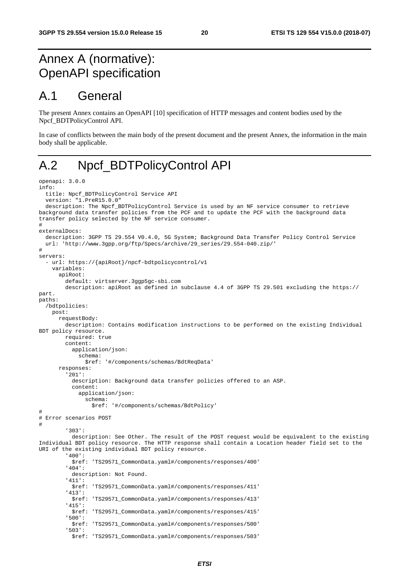## Annex A (normative): OpenAPI specification

## A.1 General

The present Annex contains an OpenAPI [10] specification of HTTP messages and content bodies used by the Npcf\_BDTPolicyControl API.

In case of conflicts between the main body of the present document and the present Annex, the information in the main body shall be applicable.

## A.2 Npcf\_BDTPolicyControl API

```
openapi: 3.0.0 
info: 
   title: Npcf_BDTPolicyControl Service API 
   version: "1.PreR15.0.0" 
   description: The Npcf_BDTPolicyControl Service is used by an NF service consumer to retrieve 
background data transfer policies from the PCF and to update the PCF with the background data 
transfer policy selected by the NF service consumer. 
# 
externalDocs: 
   description: 3GPP TS 29.554 V0.4.0, 5G System; Background Data Transfer Policy Control Service 
   url: 'http://www.3gpp.org/ftp/Specs/archive/29_series/29.554-040.zip/' 
# 
servers: 
   url: https://{apiRoot}/npcf-bdtpolicycontrol/v1
     variables: 
       apiRoot: 
         default: virtserver.3ggp5gc-sbi.com 
         description: apiRoot as defined in subclause 4.4 of 3GPP TS 29.501 excluding the https:// 
part. 
paths: 
   /bdtpolicies: 
     post: 
       requestBody: 
         description: Contains modification instructions to be performed on the existing Individual 
BDT policy resource. 
         required: true 
         content: 
           application/json: 
             schema: 
                $ref: '#/components/schemas/BdtReqData' 
       responses: 
          '201': 
           description: Background data transfer policies offered to an ASP. 
           content: 
             application/json: 
                schema: 
                  $ref: '#/components/schemas/BdtPolicy' 
# 
# Error scenarios POST 
# 
          '303': 
           description: See Other. The result of the POST request would be equivalent to the existing 
Individual BDT policy resource. The HTTP response shall contain a Location header field set to the 
URI of the existing individual BDT policy resource. 
          '400': 
           $ref: 'TS29571_CommonData.yaml#/components/responses/400' 
         '404': 
           description: Not Found. 
          '411': 
           $ref: 'TS29571_CommonData.yaml#/components/responses/411' 
          '413': 
           $ref: 'TS29571_CommonData.yaml#/components/responses/413' 
          '415': 
           $ref: 'TS29571_CommonData.yaml#/components/responses/415' 
          '500': 
           $ref: 'TS29571_CommonData.yaml#/components/responses/500' 
          '503': 
           $ref: 'TS29571_CommonData.yaml#/components/responses/503'
```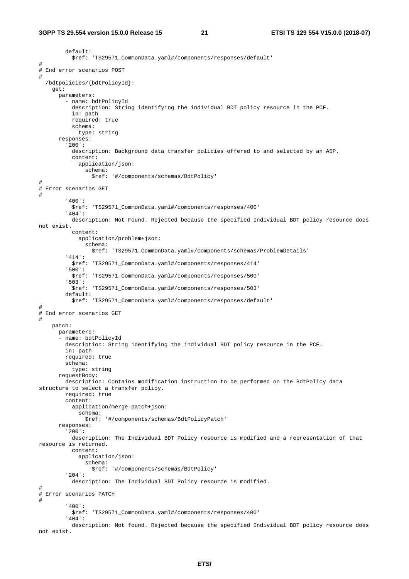```
 default: 
           $ref: 'TS29571_CommonData.yaml#/components/responses/default' 
# 
# End error scenarios POST 
# 
   /bdtpolicies/{bdtPolicyId}: 
     get: 
       parameters: 
          - name: bdtPolicyId 
           description: String identifying the individual BDT policy resource in the PCF. 
           in: path 
           required: true 
           schema: 
             type: string 
       responses: 
          '200': 
           description: Background data transfer policies offered to and selected by an ASP. 
           content: 
              application/json: 
                schema: 
                  $ref: '#/components/schemas/BdtPolicy' 
# 
# Error scenarios GET 
# 
          '400': 
           $ref: 'TS29571_CommonData.yaml#/components/responses/400' 
          '404': 
           description: Not Found. Rejected because the specified Individual BDT policy resource does 
not exist. 
           content: 
              application/problem+json: 
               schema: 
                  $ref: 'TS29571_CommonData.yaml#/components/schemas/ProblemDetails' 
          '414': 
           $ref: 'TS29571_CommonData.yaml#/components/responses/414' 
          '500': 
           $ref: 'TS29571_CommonData.yaml#/components/responses/500' 
          '503': 
           $ref: 'TS29571_CommonData.yaml#/components/responses/503' 
         default: 
           $ref: 'TS29571_CommonData.yaml#/components/responses/default' 
# 
# End error scenarios GET 
# 
     patch: 
       parameters: 
      - name: bdtPolicyId
         description: String identifying the individual BDT policy resource in the PCF. 
         in: path 
         required: true 
         schema: 
           type: string 
       requestBody: 
         description: Contains modification instruction to be performed on the BdtPolicy data 
structure to select a transfer policy. 
         required: true 
         content: 
           application/merge-patch+json: 
              schema: 
                $ref: '#/components/schemas/BdtPolicyPatch' 
       responses: 
          '200': 
           description: The Individual BDT Policy resource is modified and a representation of that 
resource is returned. 
           content: 
              application/json: 
                schema: 
                  $ref: '#/components/schemas/BdtPolicy' 
          '204': 
           description: The Individual BDT Policy resource is modified. 
# 
# Error scenarios PATCH 
# 
          '400': 
           $ref: 'TS29571_CommonData.yaml#/components/responses/400' 
          '404': 
           description: Not found. Rejected because the specified Individual BDT policy resource does 
not exist.
```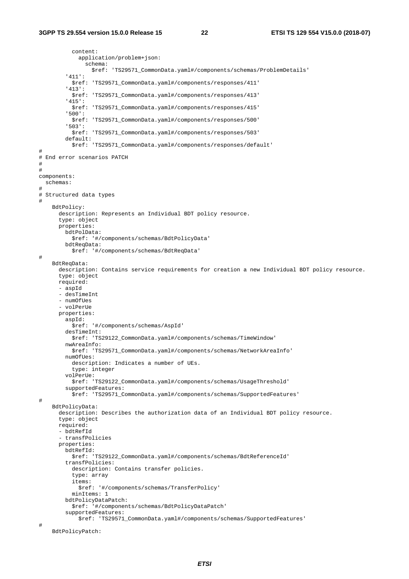```
 content: 
              application/problem+json: 
                schema: 
                  $ref: 'TS29571_CommonData.yaml#/components/schemas/ProblemDetails' 
          '411': 
           $ref: 'TS29571_CommonData.yaml#/components/responses/411' 
          '413': 
           $ref: 'TS29571_CommonData.yaml#/components/responses/413' 
          '415': 
           $ref: 'TS29571_CommonData.yaml#/components/responses/415' 
          '500': 
           $ref: 'TS29571_CommonData.yaml#/components/responses/500' 
          '503': 
           $ref: 'TS29571_CommonData.yaml#/components/responses/503' 
         default: 
           $ref: 'TS29571_CommonData.yaml#/components/responses/default' 
# 
# End error scenarios PATCH 
# 
# 
components: 
   schemas: 
# 
# Structured data types 
# 
     BdtPolicy: 
       description: Represents an Individual BDT policy resource. 
       type: object 
       properties: 
         bdtPolData: 
           $ref: '#/components/schemas/BdtPolicyData' 
         bdtReqData: 
           $ref: '#/components/schemas/BdtReqData' 
# 
     BdtReqData: 
       description: Contains service requirements for creation a new Individual BDT policy resource. 
       type: object 
       required: 
       - aspId 
       - desTimeInt 
       - numOfUes 
        - volPerUe 
       properties: 
         aspId: 
           $ref: '#/components/schemas/AspId' 
         desTimeInt: 
           $ref: 'TS29122_CommonData.yaml#/components/schemas/TimeWindow' 
         nwAreaInfo: 
           $ref: 'TS29571_CommonData.yaml#/components/schemas/NetworkAreaInfo' 
         numOfUes: 
           description: Indicates a number of UEs. 
           type: integer 
         volPerUe: 
           $ref: 'TS29122_CommonData.yaml#/components/schemas/UsageThreshold' 
         supportedFeatures: 
           $ref: 'TS29571_CommonData.yaml#/components/schemas/SupportedFeatures' 
# 
     BdtPolicyData: 
       description: Describes the authorization data of an Individual BDT policy resource. 
       type: object 
       required: 
       - bdtRefId 
        - transfPolicies 
       properties: 
         bdtRefId: 
           $ref: 'TS29122_CommonData.yaml#/components/schemas/BdtReferenceId' 
         transfPolicies: 
           description: Contains transfer policies. 
           type: array 
           items: 
              $ref: '#/components/schemas/TransferPolicy' 
           minItems: 1 
         bdtPolicyDataPatch: 
           $ref: '#/components/schemas/BdtPolicyDataPatch' 
         supportedFeatures: 
              $ref: 'TS29571_CommonData.yaml#/components/schemas/SupportedFeatures' 
# 
     BdtPolicyPatch:
```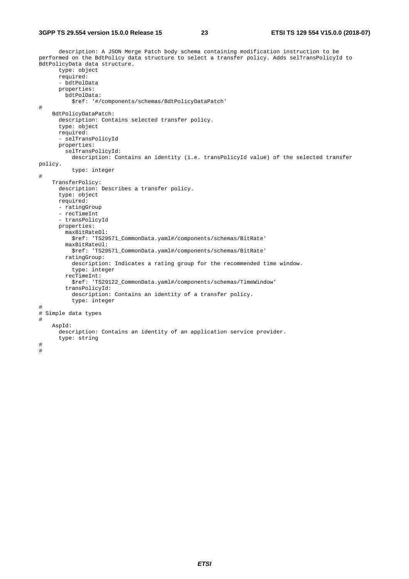#### **3GPP TS 29.554 version 15.0.0 Release 15 23 ETSI TS 129 554 V15.0.0 (2018-07)**

 description: A JSON Merge Patch body schema containing modification instruction to be performed on the BdtPolicy data structure to select a transfer policy. Adds selTransPolicyId to .<br>BdtPolicyData data structure. type: object required: - bdtPolData properties: bdtPolData: \$ref: '#/components/schemas/BdtPolicyDataPatch' # BdtPolicyDataPatch: description: Contains selected transfer policy. type: object required: - selTransPolicyId properties: selTransPolicyId: description: Contains an identity (i.e. transPolicyId value) of the selected transfer policy. type: integer # TransferPolicy: description: Describes a transfer policy. type: object required: - ratingGroup - recTimeInt - transPolicyId properties: maxBitRateDl: \$ref: 'TS29571\_CommonData.yaml#/components/schemas/BitRate' maxBitRateUl: \$ref: 'TS29571\_CommonData.yaml#/components/schemas/BitRate' ratingGroup: description: Indicates a rating group for the recommended time window. type: integer recTimeInt: \$ref: 'TS29122\_CommonData.yaml#/components/schemas/TimeWindow' transPolicyId: description: Contains an identity of a transfer policy. type: integer # # Simple data types # AspId: description: Contains an identity of an application service provider. type: string # #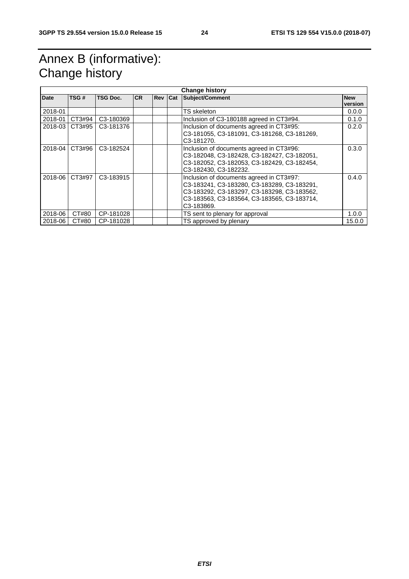## Annex B (informative): Change history

| <b>Change history</b> |        |                        |           |           |  |                                                                                                                                                                                                     |            |
|-----------------------|--------|------------------------|-----------|-----------|--|-----------------------------------------------------------------------------------------------------------------------------------------------------------------------------------------------------|------------|
| Date                  | TSG#   | <b>TSG Doc.</b>        | <b>CR</b> | Rev   Cat |  | <b>Subject/Comment</b>                                                                                                                                                                              | <b>New</b> |
|                       |        |                        |           |           |  |                                                                                                                                                                                                     | version    |
| 2018-01               |        |                        |           |           |  | TS skeleton.                                                                                                                                                                                        | 0.0.0      |
| 2018-01               | CT3#94 | C <sub>3</sub> -180369 |           |           |  | Inclusion of C3-180188 agreed in CT3#94.                                                                                                                                                            | 0.1.0      |
| 2018-03               | CT3#95 | C3-181376              |           |           |  | Inclusion of documents agreed in CT3#95:<br>C3-181055, C3-181091, C3-181268, C3-181269,<br>C <sub>3</sub> -181270.                                                                                  | 0.2.0      |
| 2018-04               | CT3#96 | C <sub>3</sub> -182524 |           |           |  | Inclusion of documents agreed in CT3#96:<br>C3-182048, C3-182428, C3-182427, C3-182051,<br>C3-182052, C3-182053, C3-182429, C3-182454,<br>C3-182430, C3-182232.                                     | 0.3.0      |
| 2018-06               | CT3#97 | C <sub>3</sub> -183915 |           |           |  | Inclusion of documents agreed in CT3#97:<br>C3-183241, C3-183280, C3-183289, C3-183291,<br>C3-183292, C3-183297, C3-183298, C3-183562,<br>C3-183563, C3-183564, C3-183565, C3-183714,<br>C3-183869. | 0.4.0      |
| 2018-06               | CT#80  | CP-181028              |           |           |  | TS sent to plenary for approval                                                                                                                                                                     | 1.0.0      |
| 2018-06               | CT#80  | CP-181028              |           |           |  | TS approved by plenary                                                                                                                                                                              | 15.0.0     |